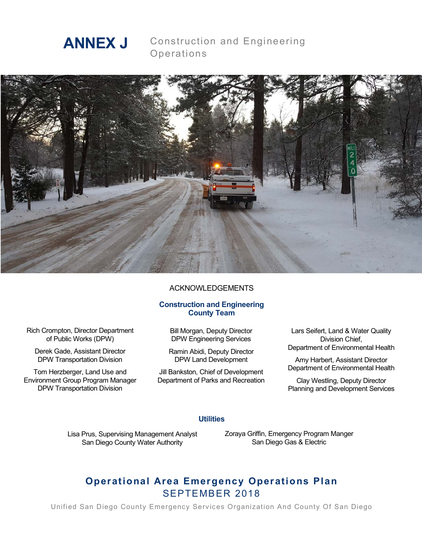

Construction and Engineering Operations



#### ACKNOWLEDGEMENTS

#### **Construction and Engineering County Team**

Rich Crompton, Director Department of Public Works (DPW)

Derek Gade, Assistant Director DPW Transportation Division

Tom Herzberger, Land Use and Environment Group Program Manager DPW Transportation Division

Bill Morgan, Deputy Director DPW Engineering Services

Ramin Abidi, Deputy Director DPW Land Development

Jill Bankston, Chief of Development Department of Parks and Recreation

Lars Seifert, Land & Water Quality Division Chief, Department of Environmental Health

Amy Harbert, Assistant Director Department of Environmental Health

Clay Westling, Deputy Director Planning and Development Services

#### **Utilities**

Lisa Prus, Supervising Management Analyst San Diego County Water Authority

Zoraya Griffin, Emergency Program Manger San Diego Gas & Electric

# **Operational Area Emergency Operations Plan** SEPTEMBER 2018

Unified San Diego County Emergency Services Organization And County Of San Diego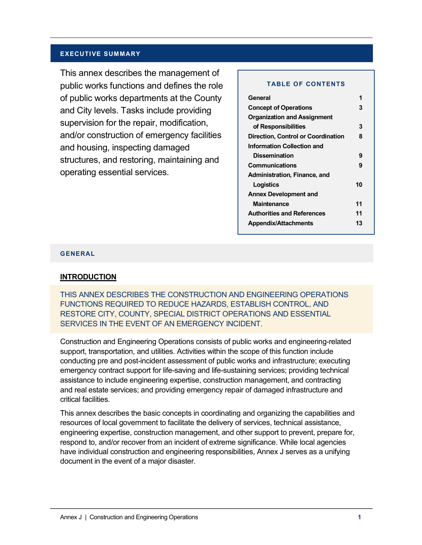#### **EXECUTIVE SUMMARY**

This annex describes the management of public works functions and defines the role of public works departments at the County and City levels. Tasks include providing supervision for the repair, modification, and/or construction of emergency facilities and housing, inspecting damaged structures, and restoring, maintaining and operating essential services.

#### **TABLE OF CONTENTS**

| General                                   |    |
|-------------------------------------------|----|
| <b>Concept of Operations</b>              | 3  |
| <b>Organization and Assignment</b>        |    |
| of Responsibilities                       | 3  |
| <b>Direction, Control or Coordination</b> | 8  |
| <b>Information Collection and</b>         |    |
| <b>Dissemination</b>                      | 9  |
| Communications                            | 9  |
| Administration, Finance, and              |    |
| Logistics                                 | 10 |
| <b>Annex Development and</b>              |    |
| <b>Maintenance</b>                        | 11 |
| <b>Authorities and References</b>         | 11 |
| <b>Appendix/Attachments</b>               | 13 |
|                                           |    |

**Appendices 16**

#### **GENERAL**

#### **INTRODUCTION**

THIS ANNEX DESCRIBES THE CONSTRUCTION AND ENGINEERING OPERATIONS FUNCTIONS REQUIRED TO REDUCE HAZARDS, ESTABLISH CONTROL, AND RESTORE CITY, COUNTY, SPECIAL DISTRICT OPERATIONS AND ESSENTIAL SERVICES IN THE EVENT OF AN EMERGENCY INCIDENT.

Construction and Engineering Operations consists of public works and engineering-related support, transportation, and utilities. Activities within the scope of this function include conducting pre and post-incident assessment of public works and infrastructure; executing emergency contract support for life-saving and life-sustaining services; providing technical assistance to include engineering expertise, construction management, and contracting and real estate services; and providing emergency repair of damaged infrastructure and critical facilities.

This annex describes the basic concepts in coordinating and organizing the capabilities and resources of local government to facilitate the delivery of services, technical assistance, engineering expertise, construction management, and other support to prevent, prepare for, respond to, and/or recover from an incident of extreme significance. While local agencies have individual construction and engineering responsibilities, Annex J serves as a unifying document in the event of a major disaster.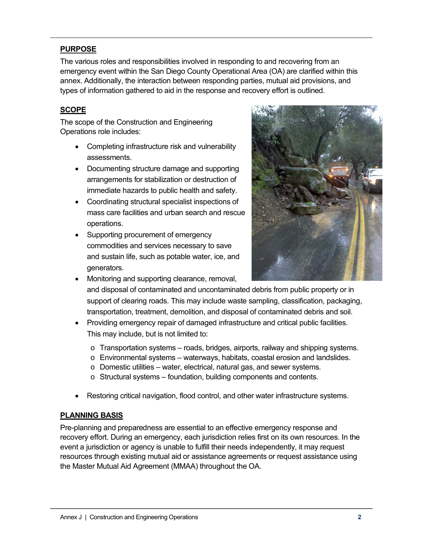# **PURPOSE**

The various roles and responsibilities involved in responding to and recovering from an emergency event within the San Diego County Operational Area (OA) are clarified within this annex. Additionally, the interaction between responding parties, mutual aid provisions, and types of information gathered to aid in the response and recovery effort is outlined.

# **SCOPE**

The scope of the Construction and Engineering Operations role includes:

- Completing infrastructure risk and vulnerability assessments.
- Documenting structure damage and supporting arrangements for stabilization or destruction of immediate hazards to public health and safety.
- Coordinating structural specialist inspections of mass care facilities and urban search and rescue operations.
- Supporting procurement of emergency commodities and services necessary to save and sustain life, such as potable water, ice, and generators.



- Monitoring and supporting clearance, removal, and disposal of contaminated and uncontaminated debris from public property or in support of clearing roads. This may include waste sampling, classification, packaging, transportation, treatment, demolition, and disposal of contaminated debris and soil.
- Providing emergency repair of damaged infrastructure and critical public facilities. This may include, but is not limited to:
	- o Transportation systems roads, bridges, airports, railway and shipping systems.
	- o Environmental systems waterways, habitats, coastal erosion and landslides.
	- o Domestic utilities water, electrical, natural gas, and sewer systems.
	- o Structural systems foundation, building components and contents.
- Restoring critical navigation, flood control, and other water infrastructure systems.

### **PLANNING BASIS**

Pre-planning and preparedness are essential to an effective emergency response and recovery effort. During an emergency, each jurisdiction relies first on its own resources. In the event a jurisdiction or agency is unable to fulfill their needs independently, it may request resources through existing mutual aid or assistance agreements or request assistance using the Master Mutual Aid Agreement (MMAA) throughout the OA.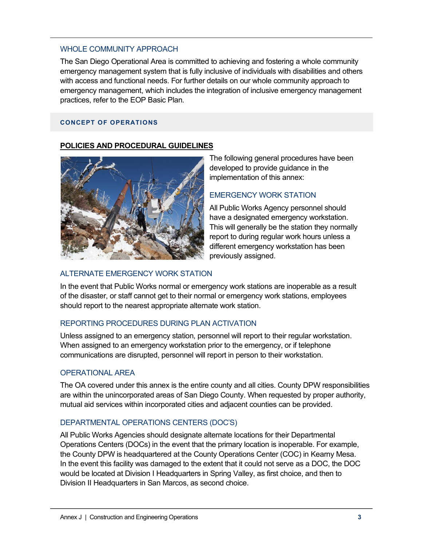### WHOLE COMMUNITY APPROACH

The San Diego Operational Area is committed to achieving and fostering a whole community emergency management system that is fully inclusive of individuals with disabilities and others with access and functional needs. For further details on our whole community approach to emergency management, which includes the integration of inclusive emergency management practices, refer to the EOP Basic Plan.

#### **CONCEPT OF OPERATIONS**

### **POLICIES AND PROCEDURAL GUIDELINES**



The following general procedures have been developed to provide guidance in the implementation of this annex:

## EMERGENCY WORK STATION

All Public Works Agency personnel should have a designated emergency workstation. This will generally be the station they normally report to during regular work hours unless a different emergency workstation has been previously assigned.

### ALTERNATE EMERGENCY WORK STATION

In the event that Public Works normal or emergency work stations are inoperable as a result of the disaster, or staff cannot get to their normal or emergency work stations, employees should report to the nearest appropriate alternate work station.

## REPORTING PROCEDURES DURING PLAN ACTIVATION

Unless assigned to an emergency station, personnel will report to their regular workstation. When assigned to an emergency workstation prior to the emergency, or if telephone communications are disrupted, personnel will report in person to their workstation.

### OPERATIONAL AREA

The OA covered under this annex is the entire county and all cities. County DPW responsibilities are within the unincorporated areas of San Diego County. When requested by proper authority, mutual aid services within incorporated cities and adjacent counties can be provided.

## DEPARTMENTAL OPERATIONS CENTERS (DOC'S)

All Public Works Agencies should designate alternate locations for their Departmental Operations Centers (DOCs) in the event that the primary location is inoperable. For example, the County DPW is headquartered at the County Operations Center (COC) in Kearny Mesa. In the event this facility was damaged to the extent that it could not serve as a DOC, the DOC would be located at Division I Headquarters in Spring Valley, as first choice, and then to Division II Headquarters in San Marcos, as second choice.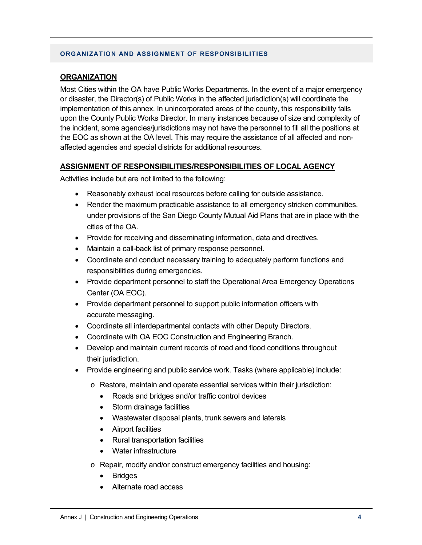#### **ORGANIZATION AND ASSIGNMENT OF RESPONSIBILITIES**

#### **ORGANIZATION**

Most Cities within the OA have Public Works Departments. In the event of a major emergency or disaster, the Director(s) of Public Works in the affected jurisdiction(s) will coordinate the implementation of this annex. In unincorporated areas of the county, this responsibility falls upon the County Public Works Director. In many instances because of size and complexity of the incident, some agencies/jurisdictions may not have the personnel to fill all the positions at the EOC as shown at the OA level. This may require the assistance of all affected and nonaffected agencies and special districts for additional resources.

### **ASSIGNMENT OF RESPONSIBILITIES/RESPONSIBILITIES OF LOCAL AGENCY**

Activities include but are not limited to the following:

- Reasonably exhaust local resources before calling for outside assistance.
- Render the maximum practicable assistance to all emergency stricken communities, under provisions of the San Diego County Mutual Aid Plans that are in place with the cities of the OA.
- Provide for receiving and disseminating information, data and directives.
- Maintain a call-back list of primary response personnel.
- Coordinate and conduct necessary training to adequately perform functions and responsibilities during emergencies.
- Provide department personnel to staff the Operational Area Emergency Operations Center (OA EOC).
- Provide department personnel to support public information officers with accurate messaging.
- Coordinate all interdepartmental contacts with other Deputy Directors.
- Coordinate with OA EOC Construction and Engineering Branch.
- Develop and maintain current records of road and flood conditions throughout their jurisdiction.
- Provide engineering and public service work. Tasks (where applicable) include:
	- o Restore, maintain and operate essential services within their jurisdiction:
		- Roads and bridges and/or traffic control devices
		- Storm drainage facilities
		- Wastewater disposal plants, trunk sewers and laterals
		- Airport facilities
		- Rural transportation facilities
		- Water infrastructure
	- o Repair, modify and/or construct emergency facilities and housing:
		- **Bridges**
		- Alternate road access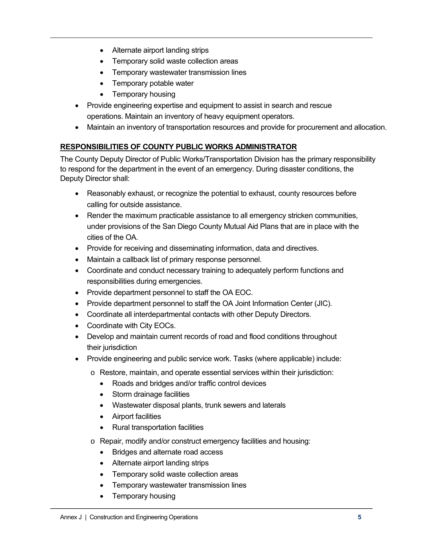- Alternate airport landing strips
- Temporary solid waste collection areas
- Temporary wastewater transmission lines
- Temporary potable water
- Temporary housing
- Provide engineering expertise and equipment to assist in search and rescue operations. Maintain an inventory of heavy equipment operators.
- Maintain an inventory of transportation resources and provide for procurement and allocation.

# **RESPONSIBILITIES OF COUNTY PUBLIC WORKS ADMINISTRATOR**

The County Deputy Director of Public Works/Transportation Division has the primary responsibility to respond for the department in the event of an emergency. During disaster conditions, the Deputy Director shall:

- Reasonably exhaust, or recognize the potential to exhaust, county resources before calling for outside assistance.
- Render the maximum practicable assistance to all emergency stricken communities, under provisions of the San Diego County Mutual Aid Plans that are in place with the cities of the OA.
- Provide for receiving and disseminating information, data and directives.
- Maintain a callback list of primary response personnel.
- Coordinate and conduct necessary training to adequately perform functions and responsibilities during emergencies.
- Provide department personnel to staff the OA EOC.
- Provide department personnel to staff the OA Joint Information Center (JIC).
- Coordinate all interdepartmental contacts with other Deputy Directors.
- Coordinate with City EOCs.
- Develop and maintain current records of road and flood conditions throughout their jurisdiction
- Provide engineering and public service work. Tasks (where applicable) include:
	- o Restore, maintain, and operate essential services within their jurisdiction:
		- Roads and bridges and/or traffic control devices
		- Storm drainage facilities
		- Wastewater disposal plants, trunk sewers and laterals
		- Airport facilities
		- Rural transportation facilities
	- o Repair, modify and/or construct emergency facilities and housing:
		- Bridges and alternate road access
		- Alternate airport landing strips
		- Temporary solid waste collection areas
		- Temporary wastewater transmission lines
		- Temporary housing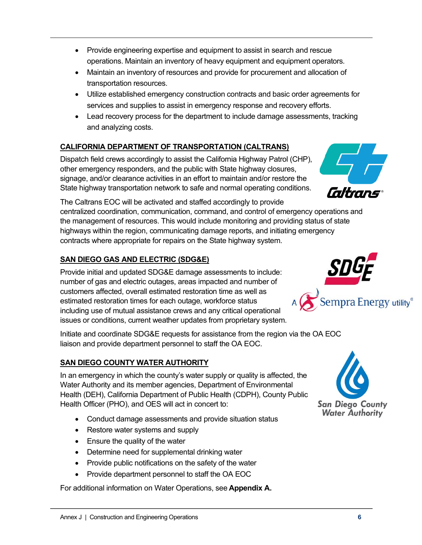- Provide engineering expertise and equipment to assist in search and rescue operations. Maintain an inventory of heavy equipment and equipment operators.
- Maintain an inventory of resources and provide for procurement and allocation of transportation resources.
- Utilize established emergency construction contracts and basic order agreements for services and supplies to assist in emergency response and recovery efforts.
- Lead recovery process for the department to include damage assessments, tracking and analyzing costs.

# **CALIFORNIA DEPARTMENT OF TRANSPORTATION (CALTRANS)**

Dispatch field crews accordingly to assist the California Highway Patrol (CHP), other emergency responders, and the public with State highway closures, signage, and/or clearance activities in an effort to maintain and/or restore the State highway transportation network to safe and normal operating conditions.

The Caltrans EOC will be activated and staffed accordingly to provide centralized coordination, communication, command, and control of emergency operations and the management of resources. This would include monitoring and providing status of state highways within the region, communicating damage reports, and initiating emergency contracts where appropriate for repairs on the State highway system.

# **SAN DIEGO GAS AND ELECTRIC (SDG&E)**

Provide initial and updated SDG&E damage assessments to include: number of gas and electric outages, areas impacted and number of customers affected, overall estimated restoration time as well as estimated restoration times for each outage, workforce status including use of mutual assistance crews and any critical operational issues or conditions, current weather updates from proprietary system.

Initiate and coordinate SDG&E requests for assistance from the region via the OA EOC liaison and provide department personnel to staff the OA EOC.

# **SAN DIEGO COUNTY WATER AUTHORITY**

In an emergency in which the county's water supply or quality is affected, the Water Authority and its member agencies, Department of Environmental Health (DEH), California Department of Public Health (CDPH), County Public Health Officer (PHO), and OES will act in concert to:

- Conduct damage assessments and provide situation status
- Restore water systems and supply
- Ensure the quality of the water
- Determine need for supplemental drinking water
- Provide public notifications on the safety of the water
- Provide department personnel to staff the OA EOC

For additional information on Water Operations, see **Appendix A.**





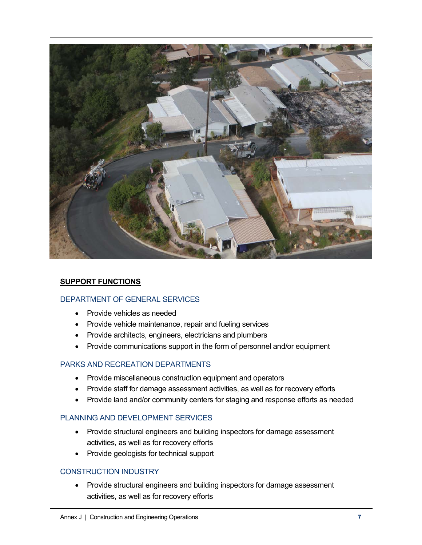

### **SUPPORT FUNCTIONS**

### DEPARTMENT OF GENERAL SERVICES

- Provide vehicles as needed
- Provide vehicle maintenance, repair and fueling services
- Provide architects, engineers, electricians and plumbers
- Provide communications support in the form of personnel and/or equipment

### PARKS AND RECREATION DEPARTMENTS

- Provide miscellaneous construction equipment and operators
- Provide staff for damage assessment activities, as well as for recovery efforts
- Provide land and/or community centers for staging and response efforts as needed

### PLANNING AND DEVELOPMENT SERVICES

- Provide structural engineers and building inspectors for damage assessment activities, as well as for recovery efforts
- Provide geologists for technical support

### CONSTRUCTION INDUSTRY

• Provide structural engineers and building inspectors for damage assessment activities, as well as for recovery efforts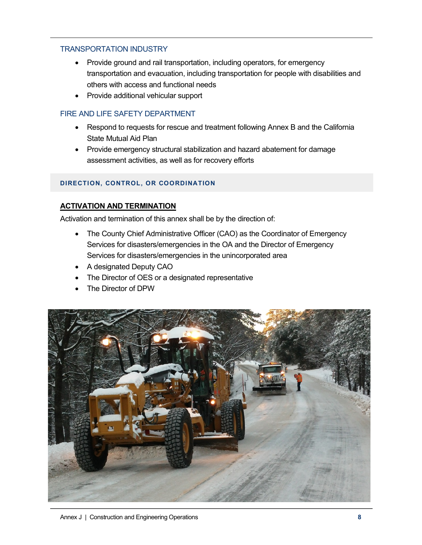## TRANSPORTATION INDUSTRY

- Provide ground and rail transportation, including operators, for emergency transportation and evacuation, including transportation for people with disabilities and others with access and functional needs
- Provide additional vehicular support

## FIRE AND LIFE SAFETY DEPARTMENT

- Respond to requests for rescue and treatment following Annex B and the California State Mutual Aid Plan
- Provide emergency structural stabilization and hazard abatement for damage assessment activities, as well as for recovery efforts

### **DIRECTION, CONTROL, OR COORDINATION**

## **ACTIVATION AND TERMINATION**

Activation and termination of this annex shall be by the direction of:

- The County Chief Administrative Officer (CAO) as the Coordinator of Emergency Services for disasters/emergencies in the OA and the Director of Emergency Services for disasters/emergencies in the unincorporated area
- A designated Deputy CAO
- The Director of OES or a designated representative
- The Director of DPW

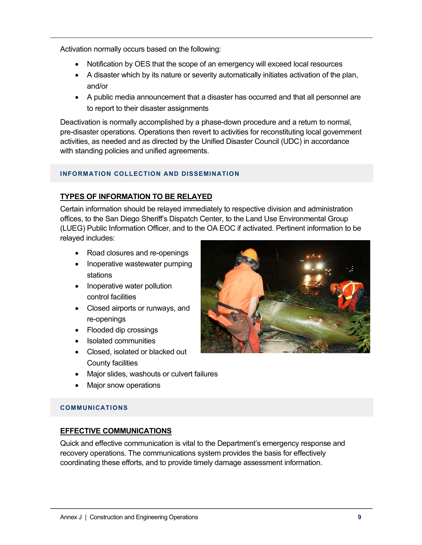Activation normally occurs based on the following:

- Notification by OES that the scope of an emergency will exceed local resources
- A disaster which by its nature or severity automatically initiates activation of the plan, and/or
- A public media announcement that a disaster has occurred and that all personnel are to report to their disaster assignments

Deactivation is normally accomplished by a phase-down procedure and a return to normal, pre-disaster operations. Operations then revert to activities for reconstituting local government activities, as needed and as directed by the Unified Disaster Council (UDC) in accordance with standing policies and unified agreements.

### **INFORMATION COLLECTION AND DISSEMINATION**

## **TYPES OF INFORMATION TO BE RELAYED**

Certain information should be relayed immediately to respective division and administration offices, to the San Diego Sheriff's Dispatch Center, to the Land Use Environmental Group (LUEG) Public Information Officer, and to the OA EOC if activated. Pertinent information to be relayed includes:

- Road closures and re-openings
- Inoperative wastewater pumping stations
- Inoperative water pollution control facilities
- Closed airports or runways, and re-openings
- Flooded dip crossings
- Isolated communities
- Closed, isolated or blacked out County facilities
- Major slides, washouts or culvert failures
- Major snow operations

### **COMMUNICATIONS**

### **EFFECTIVE COMMUNICATIONS**

Quick and effective communication is vital to the Department's emergency response and recovery operations. The communications system provides the basis for effectively coordinating these efforts, and to provide timely damage assessment information.

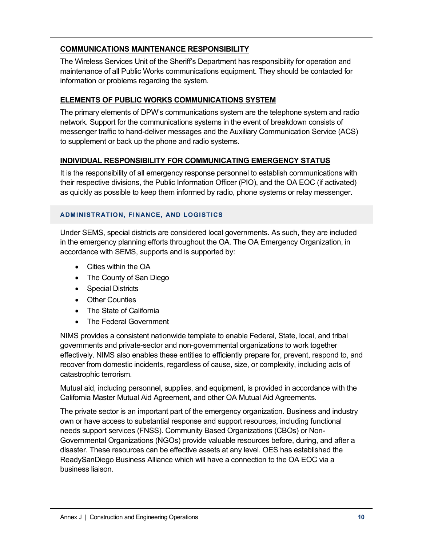# **COMMUNICATIONS MAINTENANCE RESPONSIBILITY**

The Wireless Services Unit of the Sheriff's Department has responsibility for operation and maintenance of all Public Works communications equipment. They should be contacted for information or problems regarding the system.

## **ELEMENTS OF PUBLIC WORKS COMMUNICATIONS SYSTEM**

The primary elements of DPW's communications system are the telephone system and radio network. Support for the communications systems in the event of breakdown consists of messenger traffic to hand-deliver messages and the Auxiliary Communication Service (ACS) to supplement or back up the phone and radio systems.

# **INDIVIDUAL RESPONSIBILITY FOR COMMUNICATING EMERGENCY STATUS**

It is the responsibility of all emergency response personnel to establish communications with their respective divisions, the Public Information Officer (PIO), and the OA EOC (if activated) as quickly as possible to keep them informed by radio, phone systems or relay messenger.

## **ADMINISTRATION, FINANCE, AND LOGISTICS**

Under SEMS, special districts are considered local governments. As such, they are included in the emergency planning efforts throughout the OA. The OA Emergency Organization, in accordance with SEMS, supports and is supported by:

- Cities within the OA
- The County of San Diego
- Special Districts
- Other Counties
- The State of California
- The Federal Government

NIMS provides a consistent nationwide template to enable Federal, State, local, and tribal governments and private-sector and non-governmental organizations to work together effectively. NIMS also enables these entities to efficiently prepare for, prevent, respond to, and recover from domestic incidents, regardless of cause, size, or complexity, including acts of catastrophic terrorism.

Mutual aid, including personnel, supplies, and equipment, is provided in accordance with the California Master Mutual Aid Agreement, and other OA Mutual Aid Agreements.

The private sector is an important part of the emergency organization. Business and industry own or have access to substantial response and support resources, including functional needs support services (FNSS). Community Based Organizations (CBOs) or Non-Governmental Organizations (NGOs) provide valuable resources before, during, and after a disaster. These resources can be effective assets at any level. OES has established the ReadySanDiego Business Alliance which will have a connection to the OA EOC via a business liaison.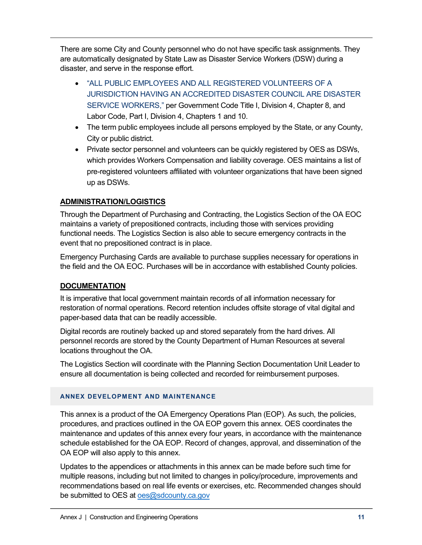There are some City and County personnel who do not have specific task assignments. They are automatically designated by State Law as Disaster Service Workers (DSW) during a disaster, and serve in the response effort.

- "ALL PUBLIC EMPLOYEES AND ALL REGISTERED VOLUNTEERS OF A JURISDICTION HAVING AN ACCREDITED DISASTER COUNCIL ARE DISASTER SERVICE WORKERS," per Government Code Title I, Division 4, Chapter 8, and Labor Code, Part I, Division 4, Chapters 1 and 10.
- The term public employees include all persons employed by the State, or any County, City or public district.
- Private sector personnel and volunteers can be quickly registered by OES as DSWs, which provides Workers Compensation and liability coverage. OES maintains a list of pre-registered volunteers affiliated with volunteer organizations that have been signed up as DSWs.

# **ADMINISTRATION/LOGISTICS**

Through the Department of Purchasing and Contracting, the Logistics Section of the OA EOC maintains a variety of prepositioned contracts, including those with services providing functional needs. The Logistics Section is also able to secure emergency contracts in the event that no prepositioned contract is in place.

Emergency Purchasing Cards are available to purchase supplies necessary for operations in the field and the OA EOC. Purchases will be in accordance with established County policies.

# **DOCUMENTATION**

It is imperative that local government maintain records of all information necessary for restoration of normal operations. Record retention includes offsite storage of vital digital and paper-based data that can be readily accessible.

Digital records are routinely backed up and stored separately from the hard drives. All personnel records are stored by the County Department of Human Resources at several locations throughout the OA.

The Logistics Section will coordinate with the Planning Section Documentation Unit Leader to ensure all documentation is being collected and recorded for reimbursement purposes.

## **ANNEX DEVELOPMENT AND MAINTENANCE**

This annex is a product of the OA Emergency Operations Plan (EOP). As such, the policies, procedures, and practices outlined in the OA EOP govern this annex. OES coordinates the maintenance and updates of this annex every four years, in accordance with the maintenance schedule established for the OA EOP. Record of changes, approval, and dissemination of the OA EOP will also apply to this annex.

Updates to the appendices or attachments in this annex can be made before such time for multiple reasons, including but not limited to changes in policy/procedure, improvements and recommendations based on real life events or exercises, etc. Recommended changes should be submitted to OES at oes@sdcounty.ca.gov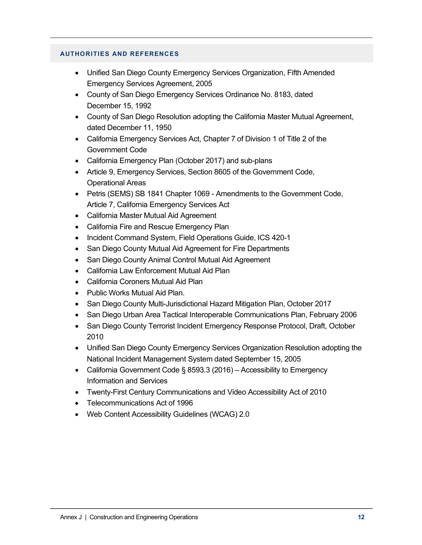#### **AUTHORITIES AND REFERENCES**

- Unified San Diego County Emergency Services Organization, Fifth Amended Emergency Services Agreement, 2005
- County of San Diego Emergency Services Ordinance No. 8183, dated December 15, 1992
- County of San Diego Resolution adopting the California Master Mutual Agreement, dated December 11, 1950
- California Emergency Services Act, Chapter 7 of Division 1 of Title 2 of the Government Code
- California Emergency Plan (October 2017) and sub-plans
- Article 9, Emergency Services, Section 8605 of the Government Code, Operational Areas
- Petris (SEMS) SB 1841 Chapter 1069 Amendments to the Government Code, Article 7, California Emergency Services Act
- California Master Mutual Aid Agreement
- California Fire and Rescue Emergency Plan
- Incident Command System, Field Operations Guide, ICS 420-1
- San Diego County Mutual Aid Agreement for Fire Departments
- San Diego County Animal Control Mutual Aid Agreement
- California Law Enforcement Mutual Aid Plan
- California Coroners Mutual Aid Plan
- Public Works Mutual Aid Plan.
- San Diego County Multi-Jurisdictional Hazard Mitigation Plan, October 2017
- San Diego Urban Area Tactical Interoperable Communications Plan, February 2006
- San Diego County Terrorist Incident Emergency Response Protocol, Draft, October 2010
- Unified San Diego County Emergency Services Organization Resolution adopting the National Incident Management System dated September 15, 2005
- California Government Code § 8593.3 (2016) Accessibility to Emergency Information and Services
- Twenty-First Century Communications and Video Accessibility Act of 2010
- Telecommunications Act of 1996
- Web Content Accessibility Guidelines (WCAG) 2.0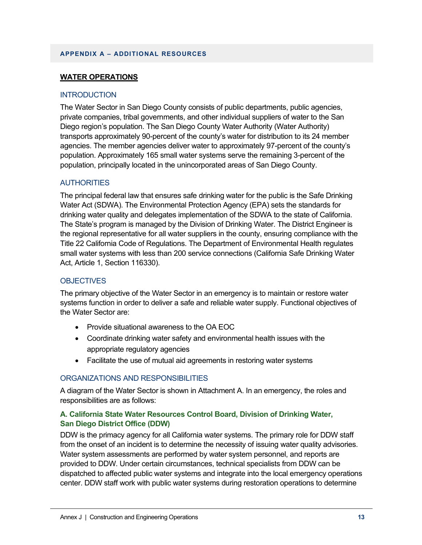#### **APPENDIX A – ADDITIONAL RESOURCES**

### **WATER OPERATIONS**

#### **INTRODUCTION**

The Water Sector in San Diego County consists of public departments, public agencies, private companies, tribal governments, and other individual suppliers of water to the San Diego region's population. The San Diego County Water Authority (Water Authority) transports approximately 90-percent of the county's water for distribution to its 24 member agencies. The member agencies deliver water to approximately 97-percent of the county's population. Approximately 165 small water systems serve the remaining 3-percent of the population, principally located in the unincorporated areas of San Diego County.

#### **AUTHORITIES**

The principal federal law that ensures safe drinking water for the public is the Safe Drinking Water Act (SDWA). The Environmental Protection Agency (EPA) sets the standards for drinking water quality and delegates implementation of the SDWA to the state of California. The State's program is managed by the Division of Drinking Water. The District Engineer is the regional representative for all water suppliers in the county, ensuring compliance with the Title 22 California Code of Regulations. The Department of Environmental Health regulates small water systems with less than 200 service connections (California Safe Drinking Water Act, Article 1, Section 116330).

#### **OBJECTIVES**

The primary objective of the Water Sector in an emergency is to maintain or restore water systems function in order to deliver a safe and reliable water supply. Functional objectives of the Water Sector are:

- Provide situational awareness to the OA EOC
- Coordinate drinking water safety and environmental health issues with the appropriate regulatory agencies
- Facilitate the use of mutual aid agreements in restoring water systems

### ORGANIZATIONS AND RESPONSIBILITIES

A diagram of the Water Sector is shown in Attachment A. In an emergency, the roles and responsibilities are as follows:

### **A. California State Water Resources Control Board, Division of Drinking Water, San Diego District Office (DDW)**

DDW is the primacy agency for all California water systems. The primary role for DDW staff from the onset of an incident is to determine the necessity of issuing water quality advisories. Water system assessments are performed by water system personnel, and reports are provided to DDW. Under certain circumstances, technical specialists from DDW can be dispatched to affected public water systems and integrate into the local emergency operations center. DDW staff work with public water systems during restoration operations to determine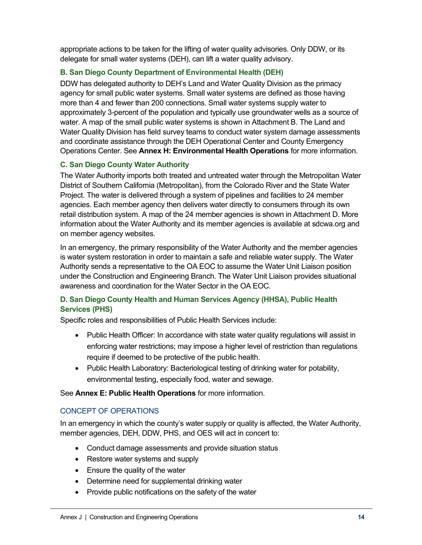appropriate actions to be taken for the lifting of water quality advisories. Only DDW, or its delegate for small water systems (DEH), can lift a water quality advisory.

## **B. San Diego County Department of Environmental Health (DEH)**

DDW has delegated authority to DEH's Land and Water Quality Division as the primacy agency for small public water systems. Small water systems are defined as those having more than 4 and fewer than 200 connections. Small water systems supply water to approximately 3-percent of the population and typically use groundwater wells as a source of water. A map of the small public water systems is shown in Attachment B. The Land and Water Quality Division has field survey teams to conduct water system damage assessments and coordinate assistance through the DEH Operational Center and County Emergency Operations Center. See **Annex H: Environmental Health Operations** for more information.

# **C. San Diego County Water Authority**

The Water Authority imports both treated and untreated water through the Metropolitan Water District of Southern California (Metropolitan), from the Colorado River and the State Water Project. The water is delivered through a system of pipelines and facilities to 24 member agencies. Each member agency then delivers water directly to consumers through its own retail distribution system. A map of the 24 member agencies is shown in Attachment D. More information about the Water Authority and its member agencies is available at sdcwa.org and on member agency websites.

In an emergency, the primary responsibility of the Water Authority and the member agencies is water system restoration in order to maintain a safe and reliable water supply. The Water Authority sends a representative to the OA EOC to assume the Water Unit Liaison position under the Construction and Engineering Branch. The Water Unit Liaison provides situational awareness and coordination for the Water Sector in the OA EOC.

# **D. San Diego County Health and Human Services Agency (HHSA), Public Health Services (PHS)**

Specific roles and responsibilities of Public Health Services include:

- Public Health Officer: In accordance with state water quality regulations will assist in enforcing water restrictions; may impose a higher level of restriction than regulations require if deemed to be protective of the public health.
- Public Health Laboratory: Bacteriological testing of drinking water for potability, environmental testing, especially food, water and sewage.

## See **Annex E: Public Health Operations** for more information.

## CONCEPT OF OPERATIONS

In an emergency in which the county's water supply or quality is affected, the Water Authority, member agencies, DEH, DDW, PHS, and OES will act in concert to:

- Conduct damage assessments and provide situation status
- Restore water systems and supply
- Ensure the quality of the water
- Determine need for supplemental drinking water
- Provide public notifications on the safety of the water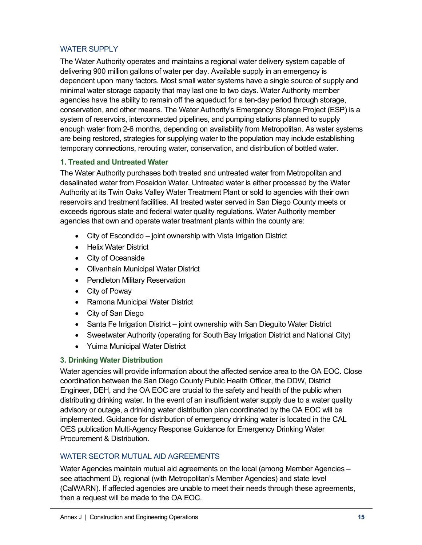# WATER SUPPLY

The Water Authority operates and maintains a regional water delivery system capable of delivering 900 million gallons of water per day. Available supply in an emergency is dependent upon many factors. Most small water systems have a single source of supply and minimal water storage capacity that may last one to two days. Water Authority member agencies have the ability to remain off the aqueduct for a ten-day period through storage, conservation, and other means. The Water Authority's Emergency Storage Project (ESP) is a system of reservoirs, interconnected pipelines, and pumping stations planned to supply enough water from 2-6 months, depending on availability from Metropolitan. As water systems are being restored, strategies for supplying water to the population may include establishing temporary connections, rerouting water, conservation, and distribution of bottled water.

## **1. Treated and Untreated Water**

The Water Authority purchases both treated and untreated water from Metropolitan and desalinated water from Poseidon Water. Untreated water is either processed by the Water Authority at its Twin Oaks Valley Water Treatment Plant or sold to agencies with their own reservoirs and treatment facilities. All treated water served in San Diego County meets or exceeds rigorous state and federal water quality regulations. Water Authority member agencies that own and operate water treatment plants within the county are:

- City of Escondido joint ownership with Vista Irrigation District
- Helix Water District
- City of Oceanside
- Olivenhain Municipal Water District
- Pendleton Military Reservation
- City of Poway
- Ramona Municipal Water District
- City of San Diego
- Santa Fe Irrigation District joint ownership with San Dieguito Water District
- Sweetwater Authority (operating for South Bay Irrigation District and National City)
- Yuima Municipal Water District

## **3. Drinking Water Distribution**

Water agencies will provide information about the affected service area to the OA EOC. Close coordination between the San Diego County Public Health Officer, the DDW, District Engineer, DEH, and the OA EOC are crucial to the safety and health of the public when distributing drinking water. In the event of an insufficient water supply due to a water quality advisory or outage, a drinking water distribution plan coordinated by the OA EOC will be implemented. Guidance for distribution of emergency drinking water is located in the CAL OES publication Multi-Agency Response Guidance for Emergency Drinking Water Procurement & Distribution.

## WATER SECTOR MUTUAL AID AGREEMENTS

Water Agencies maintain mutual aid agreements on the local (among Member Agencies – see attachment D), regional (with Metropolitan's Member Agencies) and state level (CalWARN). If affected agencies are unable to meet their needs through these agreements, then a request will be made to the OA EOC.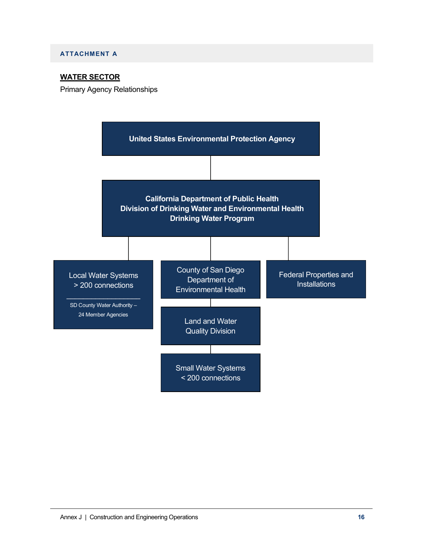#### **ATTACHMENT A**

### **WATER SECTOR**

Primary Agency Relationships

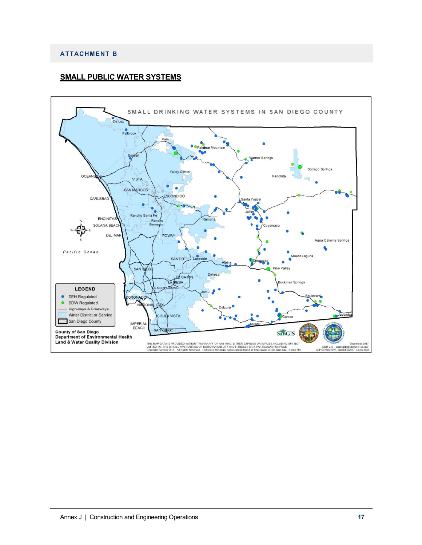#### **ATTACHMENT B**

#### **SMALL PUBLIC WATER SYSTEMS**

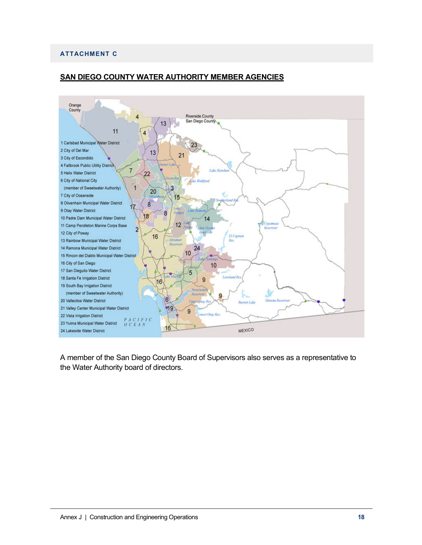#### **ATTACHMENT C**



## **SAN DIEGO COUNTY WATER AUTHORITY MEMBER AGENCIES**

A member of the San Diego County Board of Supervisors also serves as a representative to the Water Authority board of directors.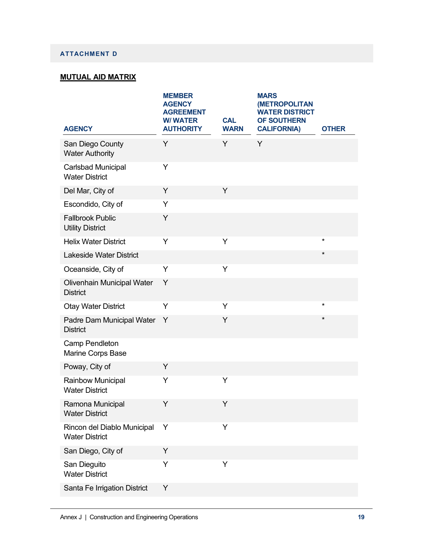### **ATTACHMENT D**

# **MUTUAL AID MATRIX**

| <b>AGENCY</b>                                        | <b>MEMBER</b><br><b>AGENCY</b><br><b>AGREEMENT</b><br><b>W/WATER</b><br><b>AUTHORITY</b> | <b>CAL</b><br><b>WARN</b> | <b>MARS</b><br><b>(METROPOLITAN</b><br><b>WATER DISTRICT</b><br>OF SOUTHERN<br><b>CALIFORNIA)</b> | <b>OTHER</b>  |
|------------------------------------------------------|------------------------------------------------------------------------------------------|---------------------------|---------------------------------------------------------------------------------------------------|---------------|
| San Diego County<br><b>Water Authority</b>           | Y                                                                                        | Y                         | Y                                                                                                 |               |
| Carlsbad Municipal<br><b>Water District</b>          | Y                                                                                        |                           |                                                                                                   |               |
| Del Mar, City of                                     | Y                                                                                        | Y                         |                                                                                                   |               |
| Escondido, City of                                   | Y                                                                                        |                           |                                                                                                   |               |
| <b>Fallbrook Public</b><br><b>Utility District</b>   | Y                                                                                        |                           |                                                                                                   |               |
| <b>Helix Water District</b>                          | Y                                                                                        | Y                         |                                                                                                   | $\star$       |
| <b>Lakeside Water District</b>                       |                                                                                          |                           |                                                                                                   | $\pmb{\star}$ |
| Oceanside, City of                                   | Y                                                                                        | Y                         |                                                                                                   |               |
| Olivenhain Municipal Water<br><b>District</b>        | Υ                                                                                        |                           |                                                                                                   |               |
| <b>Otay Water District</b>                           | Y                                                                                        | Y                         |                                                                                                   | $^\star$      |
| Padre Dam Municipal Water<br><b>District</b>         | Y                                                                                        | Υ                         |                                                                                                   | $^\star$      |
| Camp Pendleton<br>Marine Corps Base                  |                                                                                          |                           |                                                                                                   |               |
| Poway, City of                                       | Y                                                                                        |                           |                                                                                                   |               |
| Rainbow Municipal<br><b>Water District</b>           | Υ                                                                                        | Y                         |                                                                                                   |               |
| Ramona Municipal<br><b>Water District</b>            | Y                                                                                        | Y                         |                                                                                                   |               |
| Rincon del Diablo Municipal<br><b>Water District</b> | Y                                                                                        | Y                         |                                                                                                   |               |
| San Diego, City of                                   | Υ                                                                                        |                           |                                                                                                   |               |
| San Dieguito<br><b>Water District</b>                | Y                                                                                        | Y                         |                                                                                                   |               |
| Santa Fe Irrigation District                         | Υ                                                                                        |                           |                                                                                                   |               |